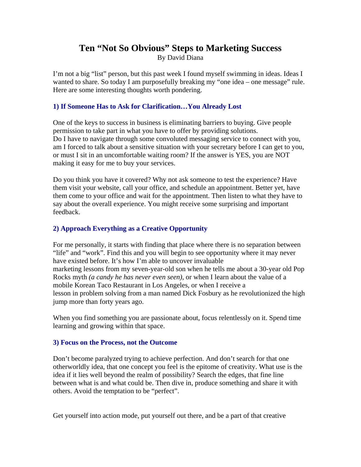# **Ten "Not So Obvious" Steps to Marketing Success**

By David Diana

I'm not a big "list" person, but this past week I found myself swimming in ideas. Ideas I wanted to share. So today I am purposefully breaking my "one idea – one message" rule. Here are some interesting thoughts worth pondering.

### **1) If Someone Has to Ask for Clarification…You Already Lost**

One of the keys to success in business is eliminating barriers to buying. Give people permission to take part in what you have to offer by providing solutions. Do I have to navigate through some convoluted messaging service to connect with you, am I forced to talk about a sensitive situation with your secretary before I can get to you, or must I sit in an uncomfortable waiting room? If the answer is YES, you are NOT making it easy for me to buy your services.

Do you think you have it covered? Why not ask someone to test the experience? Have them visit your website, call your office, and schedule an appointment. Better yet, have them come to your office and wait for the appointment. Then listen to what they have to say about the overall experience. You might receive some surprising and important feedback.

## **2) Approach Everything as a Creative Opportunity**

For me personally, it starts with finding that place where there is no separation between "life" and "work". Find this and you will begin to see opportunity where it may never have existed before. It's how I'm able to uncover invaluable marketing lessons from my seven-year-old son when he tells me about a 30-year old Pop Rocks myth *(a candy he has never even seen)*, or when I learn about the value of a mobile Korean Taco Restaurant in Los Angeles, or when I receive a lesson in problem solving from a man named Dick Fosbury as he revolutionized the high jump more than forty years ago.

When you find something you are passionate about, focus relentlessly on it. Spend time learning and growing within that space.

#### **3) Focus on the Process, not the Outcome**

Don't become paralyzed trying to achieve perfection. And don't search for that one otherworldly idea, that one concept you feel is the epitome of creativity. What use is the idea if it lies well beyond the realm of possibility? Search the edges, that fine line between what is and what could be. Then dive in, produce something and share it with others. Avoid the temptation to be "perfect".

Get yourself into action mode, put yourself out there, and be a part of that creative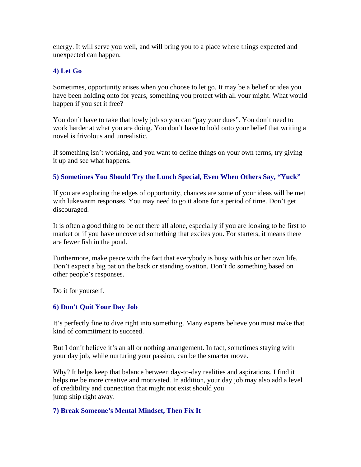energy. It will serve you well, and will bring you to a place where things expected and unexpected can happen.

## **4) Let Go**

Sometimes, opportunity arises when you choose to let go. It may be a belief or idea you have been holding onto for years, something you protect with all your might. What would happen if you set it free?

You don't have to take that lowly job so you can "pay your dues". You don't need to work harder at what you are doing. You don't have to hold onto your belief that writing a novel is frivolous and unrealistic.

If something isn't working, and you want to define things on your own terms, try giving it up and see what happens.

## **5) Sometimes You Should Try the Lunch Special, Even When Others Say, "Yuck"**

If you are exploring the edges of opportunity, chances are some of your ideas will be met with lukewarm responses. You may need to go it alone for a period of time. Don't get discouraged.

It is often a good thing to be out there all alone, especially if you are looking to be first to market or if you have uncovered something that excites you. For starters, it means there are fewer fish in the pond.

Furthermore, make peace with the fact that everybody is busy with his or her own life. Don't expect a big pat on the back or standing ovation. Don't do something based on other people's responses.

Do it for yourself.

## **6) Don't Quit Your Day Job**

It's perfectly fine to dive right into something. Many experts believe you must make that kind of commitment to succeed.

But I don't believe it's an all or nothing arrangement. In fact, sometimes staying with your day job, while nurturing your passion, can be the smarter move.

Why? It helps keep that balance between day-to-day realities and aspirations. I find it helps me be more creative and motivated. In addition, your day job may also add a level of credibility and connection that might not exist should you jump ship right away.

## **7) Break Someone's Mental Mindset, Then Fix It**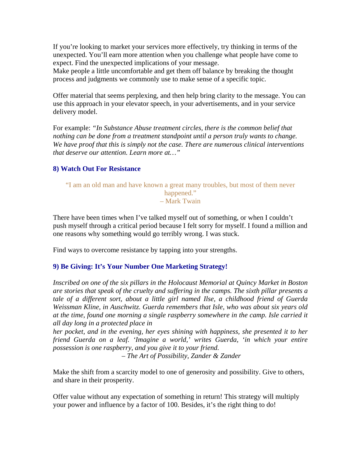If you're looking to market your services more effectively, try thinking in terms of the unexpected. You'll earn more attention when you challenge what people have come to expect. Find the unexpected implications of your message.

Make people a little uncomfortable and get them off balance by breaking the thought process and judgments we commonly use to make sense of a specific topic.

Offer material that seems perplexing, and then help bring clarity to the message. You can use this approach in your elevator speech, in your advertisements, and in your service delivery model.

For example: *"In Substance Abuse treatment circles, there is the common belief that*  nothing can be done from a treatment standpoint until a person truly wants to change. *We have proof that this is simply not the case. There are numerous clinical interventions that deserve our attention. Learn more at…"* 

#### **8) Watch Out For Resistance**

#### "I am an old man and have known a great many troubles, but most of them never happened." – Mark Twain

There have been times when I've talked myself out of something, or when I couldn't push myself through a critical period because I felt sorry for myself. I found a million and one reasons why something would go terribly wrong. I was stuck.

Find ways to overcome resistance by tapping into your strengths.

#### **9) Be Giving: It's Your Number One Marketing Strategy!**

*Inscribed on one of the six pillars in the Holocaust Memorial at Quincy Market in Boston are stories that speak of the cruelty and suffering in the camps. The sixth pillar presents a tale of a different sort, about a little girl named Ilse, a childhood friend of Guerda Weissman Kline, in Auschwitz. Guerda remembers that Isle, who was about six years old at the time, found one morning a single raspberry somewhere in the camp. Isle carried it all day long in a protected place in* 

*her pocket, and in the evening, her eyes shining with happiness, she presented it to her friend Guerda on a leaf. 'Imagine a world,' writes Guerda, 'in which your entire possession is one raspberry, and you give it to your friend.* 

 *– The Art of Possibility, Zander & Zander* 

Make the shift from a scarcity model to one of generosity and possibility. Give to others, and share in their prosperity.

Offer value without any expectation of something in return! This strategy will multiply your power and influence by a factor of 100. Besides, it's the right thing to do!